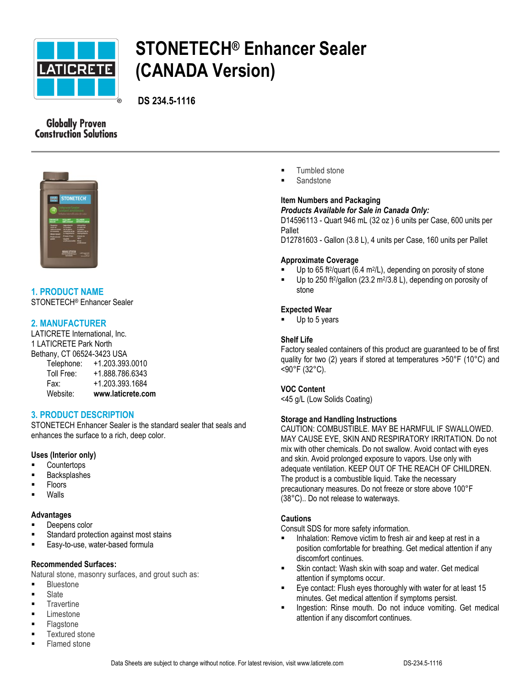

# **STONETECH® Enhancer Sealer (CANADA Version)**

**DS 234.5-1116**

# **Globally Proven Construction Solutions**



# **1. PRODUCT NAME**

STONETECH® Enhancer Sealer

## **2. MANUFACTURER**

LATICRETE International, Inc. 1 LATICRETE Park North Bethany, CT 06524-3423 USA  $1.203.202.0010$ 

| Website:   | www.laticrete.com |
|------------|-------------------|
| Fax:       | +1.203.393.1684   |
| Toll Free: | +1.888.786.6343   |
| relephone. | +1.200.090.00TU   |

# **3. PRODUCT DESCRIPTION**

STONETECH Enhancer Sealer is the standard sealer that seals and enhances the surface to a rich, deep color.

#### **Uses (Interior only)**

- **Countertops**
- Backsplashes
- Floors
- Walls

## **Advantages**

- Deepens color
- Standard protection against most stains
- **Easy-to-use, water-based formula**

## **Recommended Surfaces:**

Natural stone, masonry surfaces, and grout such as:

- **Bluestone**
- **Slate**
- **Travertine**
- Limestone
- Flagstone
- Textured stone
- Flamed stone
- **Tumbled stone**
- Sandstone

# **Item Numbers and Packaging**

*Products Available for Sale in Canada Only:*

D14596113 - Quart 946 mL (32 oz ) 6 units per Case, 600 units per Pallet

D12781603 - Gallon (3.8 L), 4 units per Case, 160 units per Pallet

#### **Approximate Coverage**

- Up to 65 ft<sup>2</sup>/quart (6.4 m<sup>2</sup>/L), depending on porosity of stone
- $\blacksquare$  Up to 250 ft<sup>2</sup>/gallon (23.2 m<sup>2</sup>/3.8 L), depending on porosity of stone

## **Expected Wear**

Up to 5 years

## **Shelf Life**

Factory sealed containers of this product are guaranteed to be of first quality for two (2) years if stored at temperatures >50°F (10°C) and <90°F (32°C).

## **VOC Content**

<45 g/L (Low Solids Coating)

#### **Storage and Handling Instructions**

CAUTION: COMBUSTIBLE. MAY BE HARMFUL IF SWALLOWED. MAY CAUSE EYE, SKIN AND RESPIRATORY IRRITATION. Do not mix with other chemicals. Do not swallow. Avoid contact with eyes and skin. Avoid prolonged exposure to vapors. Use only with adequate ventilation. KEEP OUT OF THE REACH OF CHILDREN. The product is a combustible liquid. Take the necessary precautionary measures. Do not freeze or store above 100°F (38°C).. Do not release to waterways.

#### **Cautions**

Consult SDS for more safety information.

- Inhalation: Remove victim to fresh air and keep at rest in a position comfortable for breathing. Get medical attention if any discomfort continues.
- Skin contact: Wash skin with soap and water. Get medical attention if symptoms occur.
- Eye contact: Flush eyes thoroughly with water for at least 15 minutes. Get medical attention if symptoms persist.
- **Ingestion: Rinse mouth. Do not induce vomiting. Get medical** attention if any discomfort continues.